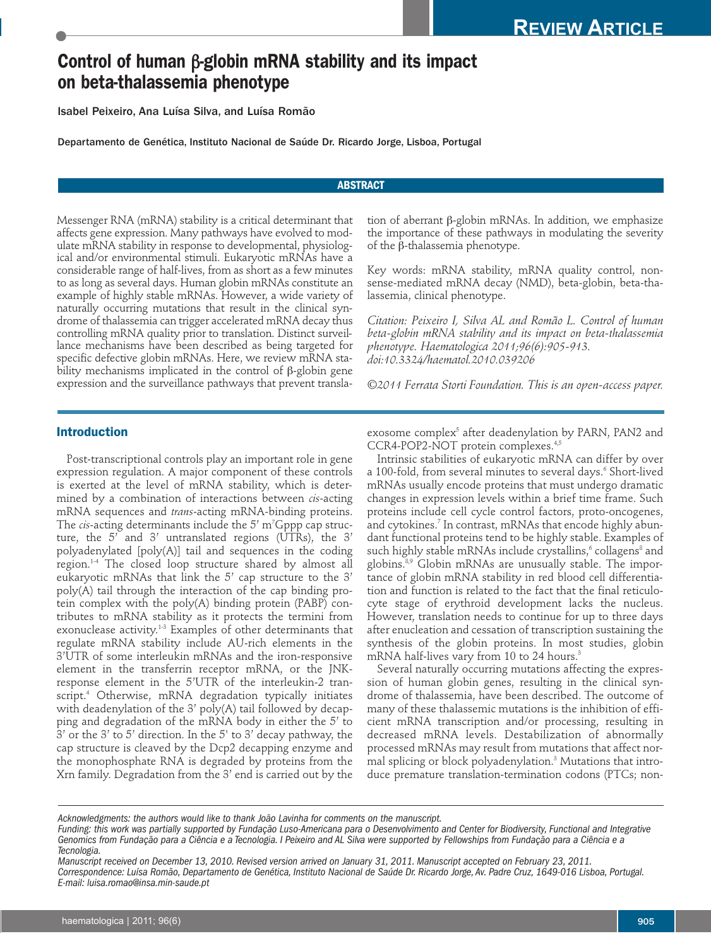# **Control of human** b**-globin mRNA stability and its impact on beta-thalassemia phenotype**

Isabel Peixeiro, Ana Luísa Silva, and Luísa Romão

Departamento de Genética, Instituto Nacional de Saúde Dr. Ricardo Jorge, Lisboa, Portugal

## **ABSTRACT**

Messenger RNA (mRNA) stability is a critical determinant that affects gene expression. Many pathways have evolved to modulate mRNA stability in response to developmental, physiological and/or environmental stimuli. Eukaryotic mRNAs have a considerable range of half-lives, from as short as a few minutes to as long as several days. Human globin mRNAs constitute an example of highly stable mRNAs. However, a wide variety of naturally occurring mutations that result in the clinical syndrome of thalassemia can trigger accelerated mRNA decay thus controlling mRNA quality prior to translation. Distinct surveillance mechanisms have been described as being targeted for specific defective globin mRNAs. Here, we review mRNA stability mechanisms implicated in the control of  $\beta$ -globin gene expression and the surveillance pathways that prevent transla-

## **Introduction**

Post-transcriptional controls play an important role in gene expression regulation. A major component of these controls is exerted at the level of mRNA stability, which is determined by a combination of interactions between *cis*-acting mRNA sequences and *trans*-acting mRNA-binding proteins. The *cis*-acting determinants include the 5' m7 Gppp cap structure, the 5' and 3' untranslated regions (UTRs), the 3' polyadenylated [poly(A)] tail and sequences in the coding region.1-4 The closed loop structure shared by almost all eukaryotic mRNAs that link the 5' cap structure to the 3' poly(A) tail through the interaction of the cap binding protein complex with the poly(A) binding protein (PABP) contributes to mRNA stability as it protects the termini from exonuclease activity.<sup>1-3</sup> Examples of other determinants that regulate mRNA stability include AU-rich elements in the 3'UTR of some interleukin mRNAs and the iron-responsive element in the transferrin receptor mRNA, or the JNKresponse element in the 5'UTR of the interleukin-2 transcript.<sup>4</sup> Otherwise, mRNA degradation typically initiates with deadenylation of the 3' poly(A) tail followed by decapping and degradation of the mRNA body in either the 5' to 3' or the 3' to 5' direction. In the 5' to 3' decay pathway, the cap structure is cleaved by the Dcp2 decapping enzyme and the monophosphate RNA is degraded by proteins from the Xrn family. Degradation from the 3' end is carried out by the

tion of aberrant  $\beta$ -globin mRNAs. In addition, we emphasize the importance of these pathways in modulating the severity of the  $\beta$ -thalassemia phenotype.

Key words: mRNA stability, mRNA quality control, nonsense-mediated mRNA decay (NMD), beta-globin, beta-thalassemia, clinical phenotype.

*Citation: Peixeiro I, Silva AL and Romão L. Control of human beta-globin mRNA stability and its impact on beta-thalassemia phenotype. Haematologica 2011;96(6):905-913. doi:10.3324/haematol.2010.039206*

*©2011 Ferrata Storti Foundation. This is an open-access paper.* 

exosome complex<sup>5</sup> after deadenylation by PARN, PAN2 and CCR4-POP2-NOT protein complexes.<sup>4,5</sup>

Intrinsic stabilities of eukaryotic mRNA can differ by over a 100-fold, from several minutes to several days.<sup>6</sup> Short-lived mRNAs usually encode proteins that must undergo dramatic changes in expression levels within a brief time frame. Such proteins include cell cycle control factors, proto-oncogenes, and cytokines.<sup>7</sup> In contrast, mRNAs that encode highly abundant functional proteins tend to be highly stable. Examples of such highly stable mRNAs include crystallins,<sup>6</sup> collagens<sup>8</sup> and globins.8,9 Globin mRNAs are unusually stable. The importance of globin mRNA stability in red blood cell differentiation and function is related to the fact that the final reticulocyte stage of erythroid development lacks the nucleus. However, translation needs to continue for up to three days after enucleation and cessation of transcription sustaining the synthesis of the globin proteins. In most studies, globin mRNA half-lives vary from 10 to 24 hours.<sup>3</sup>

Several naturally occurring mutations affecting the expression of human globin genes, resulting in the clinical syndrome of thalassemia, have been described. The outcome of many of these thalassemic mutations is the inhibition of efficient mRNA transcription and/or processing, resulting in decreased mRNA levels. Destabilization of abnormally processed mRNAs may result from mutations that affect normal splicing or block polyadenylation.<sup>3</sup> Mutations that introduce premature translation-termination codons (PTCs; non-

*Acknowledgments: the authors would like to thank João Lavinha for comments on the manuscript.*

*Funding: this work was partially supported by Fundação Luso-Americana para o Desenvolvimento and Center for Biodiversity, Functional and Integrative Genomics from Fundação para a Ciência e a Tecnologia. I Peixeiro and AL Silva were supported by Fellowships from Fundação para a Ciência e a Tecnologia.* 

*Manuscript received on December 13, 2010. Revised version arrived on January 31, 2011. Manuscript accepted on February 23, 2011. Correspondence: Luísa Romão, Departamento de Genética, Instituto Nacional de Saúde Dr. Ricardo Jorge, Av. Padre Cruz, 1649-016 Lisboa, Portugal. E-mail: luisa.romao@insa.min-saude.pt*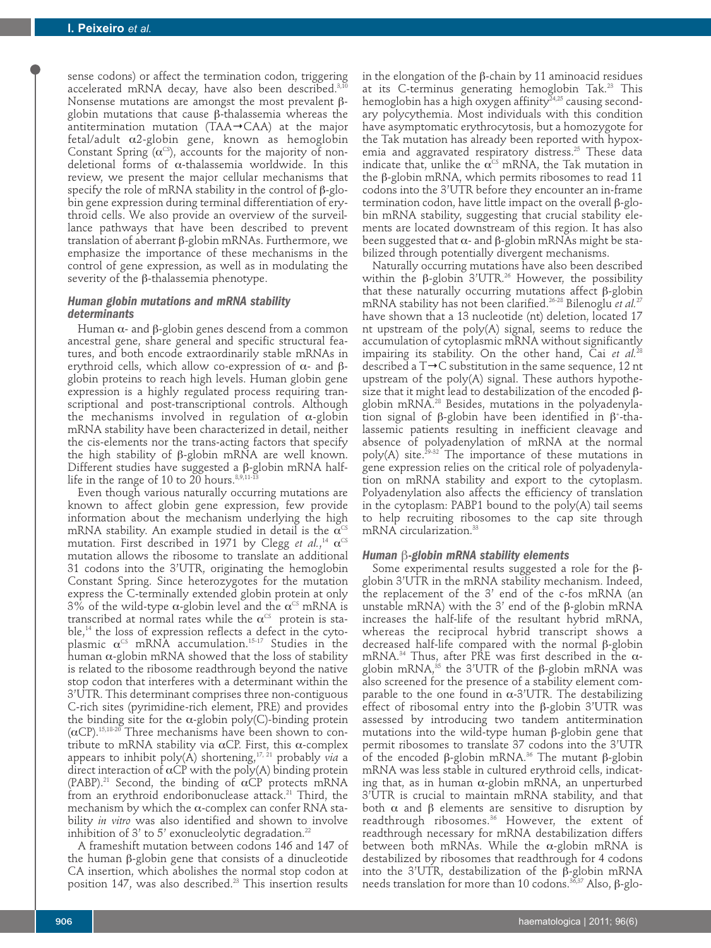sense codons) or affect the termination codon, triggering accelerated mRNA decay, have also been described.<sup>3,</sup> Nonsense mutations are amongst the most prevalent  $\beta$ globin mutations that cause  $\beta$ -thalassemia whereas the antitermination mutation (TAA→CAA) at the major fetal/adult  $\alpha$ 2-globin gene, known as hemoglobin Constant Spring ( $\alpha$ <sup>CS</sup>), accounts for the majority of nondeletional forms of α-thalassemia worldwide. In this review, we present the major cellular mechanisms that specify the role of mRNA stability in the control of  $\beta$ -globin gene expression during terminal differentiation of erythroid cells. We also provide an overview of the surveillance pathways that have been described to prevent translation of aberrant  $\beta$ -globin mRNAs. Furthermore, we emphasize the importance of these mechanisms in the control of gene expression, as well as in modulating the severity of the  $\beta$ -thalassemia phenotype.

## *Human globin mutations and mRNA stability determinants*

Human  $\alpha$ - and β-globin genes descend from a common ancestral gene, share general and specific structural features, and both encode extraordinarily stable mRNAs in erythroid cells, which allow co-expression of  $\alpha$ - and  $\beta$ globin proteins to reach high levels. Human globin gene expression is a highly regulated process requiring transcriptional and post-transcriptional controls. Although the mechanisms involved in regulation of  $\alpha$ -globin mRNA stability have been characterized in detail, neither the cis-elements nor the trans-acting factors that specify the high stability of  $\beta$ -globin mRNA are well known. Different studies have suggested a b-globin mRNA halflife in the range of 10 to 20 hours. $^{\text{8,9,11-13}}$ 

Even though various naturally occurring mutations are known to affect globin gene expression, few provide information about the mechanism underlying the high mRNA stability. An example studied in detail is the  $\alpha$ <sup>CS</sup> mutation. First described in 1971 by Clegg *et al.*,<sup>14</sup> α<sup>cs</sup> mutation allows the ribosome to translate an additional 31 codons into the 3'UTR, originating the hemoglobin Constant Spring. Since heterozygotes for the mutation express the C-terminally extended globin protein at only 3% of the wild-type  $\alpha$ -globin level and the  $\alpha$ <sup>cs</sup> mRNA is transcribed at normal rates while the  $\alpha^{\text{CS}}$  protein is stable, $14$  the loss of expression reflects a defect in the cytoplasmic  $\alpha^{CS}$  mRNA accumulation.<sup>15-17</sup> Studies in the human  $\alpha$ -globin mRNA showed that the loss of stability is related to the ribosome readthrough beyond the native stop codon that interferes with a determinant within the 3'UTR. This determinant comprises three non-contiguous C-rich sites (pyrimidine-rich element, PRE) and provides the binding site for the  $\alpha$ -globin poly(C)-binding protein  $(\alpha$ CP).<sup>15,18-20</sup> Three mechanisms have been shown to contribute to mRNA stability via αCP. First, this α-complex appears to inhibit poly(A) shortening,<sup>17, 21</sup> probably *via* a direct interaction of  $\alpha$ CP with the poly(A) binding protein (PABP).<sup>21</sup> Second, the binding of  $\alpha$ CP protects mRNA from an erythroid endoribonuclease attack.<sup>21</sup> Third, the mechanism by which the  $\alpha$ -complex can confer RNA stability *in vitro* was also identified and shown to involve inhibition of 3' to 5' exonucleolytic degradation.<sup>22</sup>

A frameshift mutation between codons 146 and 147 of the human  $\beta$ -globin gene that consists of a dinucleotide CA insertion, which abolishes the normal stop codon at position  $147$ , was also described.<sup>23</sup> This insertion results

in the elongation of the  $\beta$ -chain by 11 aminoacid residues at its C-terminus generating hemoglobin Tak.<sup>23</sup> This hemoglobin has a high oxygen affinity<sup>24,25</sup> causing secondary polycythemia. Most individuals with this condition have asymptomatic erythrocytosis, but a homozygote for the Tak mutation has already been reported with hypoxemia and aggravated respiratory distress.<sup>25</sup> These data indicate that, unlike the  $\alpha^{\text{cs}}$  mRNA, the Tak mutation in the  $\beta$ -globin mRNA, which permits ribosomes to read 11 codons into the 3'UTR before they encounter an in-frame termination codon, have little impact on the overall  $\beta$ -globin mRNA stability, suggesting that crucial stability elements are located downstream of this region. It has also been suggested that  $\alpha$ - and  $\beta$ -globin mRNAs might be stabilized through potentially divergent mechanisms.

Naturally occurring mutations have also been described within the  $\beta$ -globin 3'UTR.<sup>26</sup> However, the possibility that these naturally occurring mutations affect  $\beta$ -globin mRNA stability has not been clarified.26-28 Bilenoglu *et al.*<sup>27</sup> have shown that a 13 nucleotide (nt) deletion, located 17 nt upstream of the poly(A) signal, seems to reduce the accumulation of cytoplasmic mRNA without significantly impairing its stability. On the other hand, Cai *et al.*<sup>28</sup> described a  $T\rightarrow C$  substitution in the same sequence, 12 nt upstream of the poly(A) signal. These authors hypothesize that it might lead to destabilization of the encoded  $\beta$ globin mRNA.28 Besides, mutations in the polyadenylation signal of  $\beta$ -globin have been identified in  $\beta^*$ -thalassemic patients resulting in inefficient cleavage and absence of polyadenylation of mRNA at the normal poly(A) site.<sup>29-32</sup> The importance of these mutations in gene expression relies on the critical role of polyadenylation on mRNA stability and export to the cytoplasm. Polyadenylation also affects the efficiency of translation in the cytoplasm: PABP1 bound to the poly(A) tail seems to help recruiting ribosomes to the cap site through mRNA circularization.<sup>33</sup>

### *Human* b*-globin mRNA stability elements*

Some experimental results suggested a role for the  $\beta$ globin 3'UTR in the mRNA stability mechanism. Indeed, the replacement of the 3' end of the c-fos mRNA (an unstable mRNA) with the 3' end of the  $\beta$ -globin mRNA increases the half-life of the resultant hybrid mRNA, whereas the reciprocal hybrid transcript shows a decreased half-life compared with the normal  $\beta$ -globin mRNA.<sup>34</sup> Thus, after PRE was first described in the  $\alpha$ globin mRNA, $^{35}$  the  $3'UTR$  of the  $\beta$ -globin mRNA was also screened for the presence of a stability element comparable to the one found in α-3'UTR. The destabilizing effect of ribosomal entry into the  $\beta$ -globin 3'UTR was assessed by introducing two tandem antitermination mutations into the wild-type human  $\beta$ -globin gene that permit ribosomes to translate 37 codons into the 3'UTR of the encoded  $\beta$ -globin mRNA.<sup>36</sup> The mutant  $\beta$ -globin mRNA was less stable in cultured erythroid cells, indicating that, as in human α-globin mRNA, an unperturbed 3'UTR is crucial to maintain mRNA stability, and that both  $\alpha$  and β elements are sensitive to disruption by readthrough ribosomes.<sup>36</sup> However, the extent of readthrough necessary for mRNA destabilization differs between both mRNAs. While the  $\alpha$ -globin mRNA is destabilized by ribosomes that readthrough for 4 codons into the 3'UTR, destabilization of the  $\beta$ -globin mRNA needs translation for more than 10 codons. $36,37$  Also,  $\beta$ -glo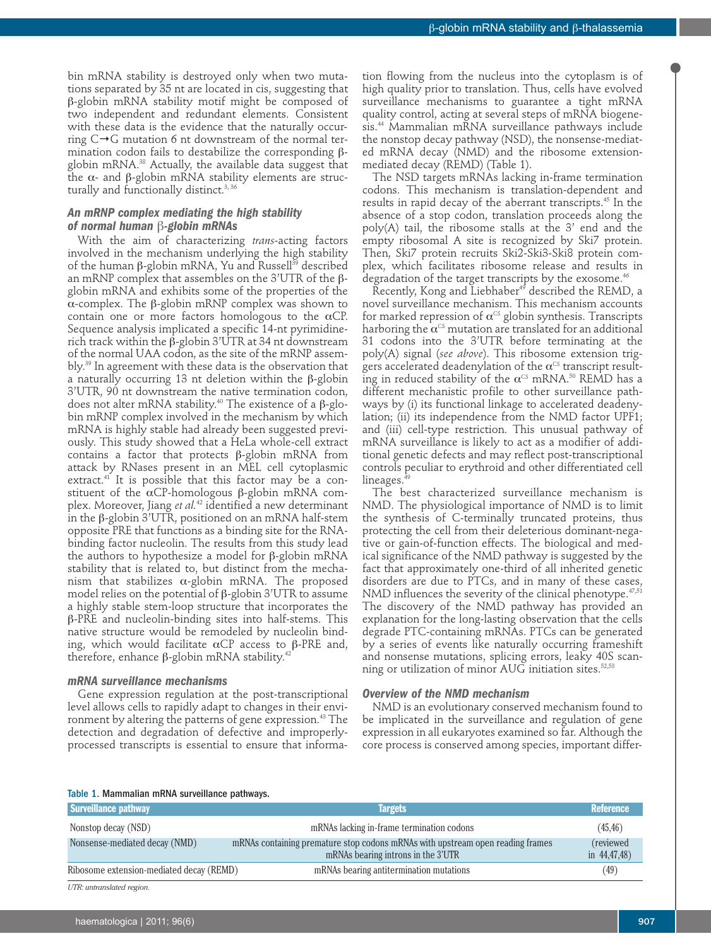bin mRNA stability is destroyed only when two mutations separated by 35 nt are located in cis, suggesting that b-globin mRNA stability motif might be composed of two independent and redundant elements. Consistent with these data is the evidence that the naturally occurring C→G mutation 6 nt downstream of the normal termination codon fails to destabilize the corresponding  $\beta$ globin mRNA.38 Actually, the available data suggest that the  $α$ - and  $β$ -globin mRNA stability elements are structurally and functionally distinct.<sup>3, 36</sup>

## *An mRNP complex mediating the high stability of normal human* b*-globin mRNAs*

With the aim of characterizing *trans*-acting factors involved in the mechanism underlying the high stability of the human  $\beta$ -globin mRNA, Yu and Russell<sup>39</sup> described an mRNP complex that assembles on the 3'UTR of the  $\beta$ globin mRNA and exhibits some of the properties of the α-complex. The b-globin mRNP complex was shown to contain one or more factors homologous to the αCP. Sequence analysis implicated a specific 14-nt pyrimidinerich track within the  $\beta$ -globin 3'UTR at 34 nt downstream of the normal UAA codon, as the site of the mRNP assembly.<sup>39</sup> In agreement with these data is the observation that a naturally occurring 13 nt deletion within the  $\beta$ -globin 3'UTR, 90 nt downstream the native termination codon, does not alter mRNA stability.<sup>40</sup> The existence of a  $\beta$ -globin mRNP complex involved in the mechanism by which mRNA is highly stable had already been suggested previously. This study showed that a HeLa whole-cell extract contains a factor that protects  $\beta$ -globin mRNA from attack by RNases present in an MEL cell cytoplasmic extract. $41$  It is possible that this factor may be a constituent of the  $α$ CP-homologous  $β$ -globin mRNA complex. Moreover, Jiang *et al.*<sup>42</sup> identified a new determinant in the  $\beta$ -globin 3'UTR, positioned on an mRNA half-stem opposite PRE that functions as a binding site for the RNAbinding factor nucleolin. The results from this study lead the authors to hypothesize a model for  $\beta$ -globin mRNA stability that is related to, but distinct from the mechanism that stabilizes  $\alpha$ -globin mRNA. The proposed model relies on the potential of  $\beta$ -globin 3'UTR to assume a highly stable stem-loop structure that incorporates the b-PRE and nucleolin-binding sites into half-stems. This native structure would be remodeled by nucleolin binding, which would facilitate  $\alpha$ CP access to  $\beta$ -PRE and, therefore, enhance  $\beta$ -globin mRNA stability.<sup>42</sup>

#### *mRNA surveillance mechanisms*

Gene expression regulation at the post-transcriptional level allows cells to rapidly adapt to changes in their environment by altering the patterns of gene expression.<sup>43</sup> The detection and degradation of defective and improperlyprocessed transcripts is essential to ensure that information flowing from the nucleus into the cytoplasm is of high quality prior to translation. Thus, cells have evolved surveillance mechanisms to guarantee a tight mRNA quality control, acting at several steps of mRNA biogenesis.44 Mammalian mRNA surveillance pathways include the nonstop decay pathway (NSD), the nonsense-mediated mRNA decay (NMD) and the ribosome extensionmediated decay (REMD) (Table 1).

The NSD targets mRNAs lacking in-frame termination codons. This mechanism is translation-dependent and results in rapid decay of the aberrant transcripts.45 In the absence of a stop codon, translation proceeds along the poly(A) tail, the ribosome stalls at the 3' end and the empty ribosomal A site is recognized by Ski7 protein. Then, Ski7 protein recruits Ski2-Ski3-Ski8 protein complex, which facilitates ribosome release and results in degradation of the target transcripts by the exosome.<sup>46</sup>

Recently, Kong and Liebhaber<sup>49</sup> described the REMD, a novel surveillance mechanism. This mechanism accounts for marked repression of  $\alpha^{cs}$  globin synthesis. Transcripts harboring the  $\alpha$ <sup>CS</sup> mutation are translated for an additional 31 codons into the 3'UTR before terminating at the poly(A) signal (*see above*). This ribosome extension triggers accelerated deadenylation of the  $\alpha^{\text{cs}}$  transcript resulting in reduced stability of the  $\alpha^{\text{CS}}$  mRNA.<sup>50</sup> REMD has a different mechanistic profile to other surveillance pathways by (i) its functional linkage to accelerated deadenylation; (ii) its independence from the NMD factor UPF1; and (iii) cell-type restriction. This unusual pathway of mRNA surveillance is likely to act as a modifier of additional genetic defects and may reflect post-transcriptional controls peculiar to erythroid and other differentiated cell lineages.

The best characterized surveillance mechanism is NMD. The physiological importance of NMD is to limit the synthesis of C-terminally truncated proteins, thus protecting the cell from their deleterious dominant-negative or gain-of-function effects. The biological and medical significance of the NMD pathway is suggested by the fact that approximately one-third of all inherited genetic disorders are due to PTCs, and in many of these cases, NMD influences the severity of the clinical phenotype.<sup>47,51</sup> The discovery of the NMD pathway has provided an explanation for the long-lasting observation that the cells degrade PTC-containing mRNAs. PTCs can be generated by a series of events like naturally occurring frameshift and nonsense mutations, splicing errors, leaky 40S scanning or utilization of minor AUG initiation sites. $52,53$ 

#### *Overview of the NMD mechanism*

NMD is an evolutionary conserved mechanism found to be implicated in the surveillance and regulation of gene expression in all eukaryotes examined so far. Although the core process is conserved among species, important differ-

#### Table 1. Mammalian mRNA surveillance pathways.

| Surveillance pathway                     | <b>Targets</b>                                                                                                       | <b>Reference</b>                     |
|------------------------------------------|----------------------------------------------------------------------------------------------------------------------|--------------------------------------|
| Nonstop decay (NSD)                      | mRNAs lacking in-frame termination codons                                                                            | (45, 46)                             |
| Nonsense-mediated decay (NMD)            | mRNAs containing premature stop codons mRNAs with upstream open reading frames<br>mRNAs bearing introns in the 3'UTR | <i>(reviewed)</i><br>in $44,47,48$ ) |
| Ribosome extension-mediated decay (REMD) | mRNAs bearing antitermination mutations                                                                              | (49)                                 |

*UTR: untranslated region.*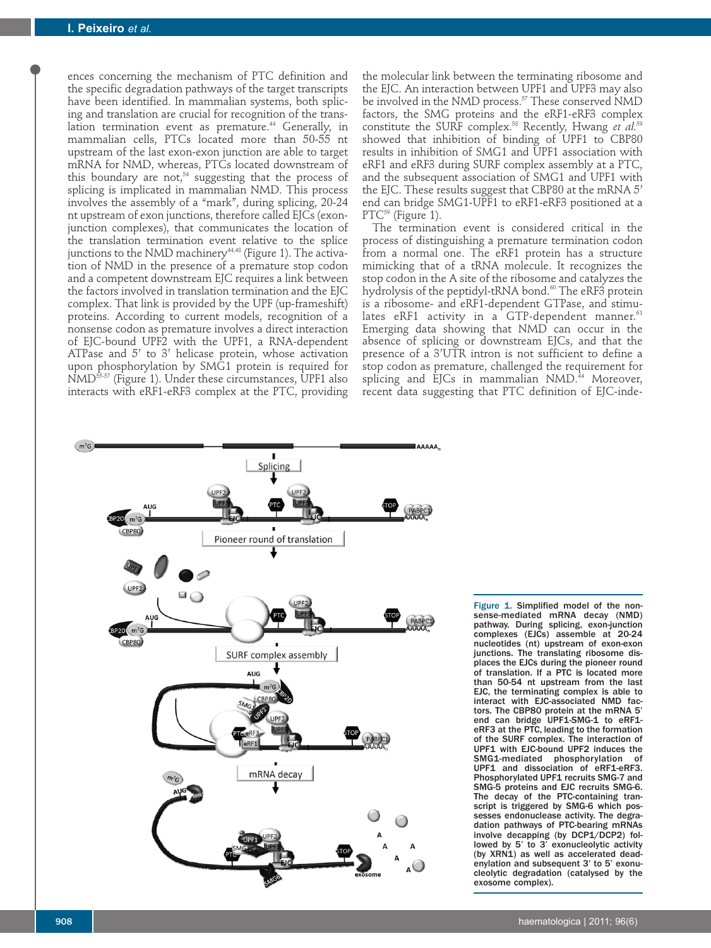ences concerning the mechanism of PTC definition and the specific degradation pathways of the target transcripts have been identified. In mammalian systems, both splicing and translation are crucial for recognition of the translation termination event as premature.<sup>44</sup> Generally, in mammalian cells, PTCs located more than 50-55 nt upstream of the last exon-exon junction are able to target mRNA for NMD, whereas, PTCs located downstream of this boundary are not, $54$  suggesting that the process of splicing is implicated in mammalian NMD. This process involves the assembly of a "mark", during splicing, 20-24 nt upstream of exon junctions, therefore called EJCs (exonjunction complexes), that communicates the location of the translation termination event relative to the splice junctions to the NMD machinery<sup>44,48</sup> (Figure 1). The activation of NMD in the presence of a premature stop codon and a competent downstream EJC requires a link between the factors involved in translation termination and the EJC complex. That link is provided by the UPF (up-frameshift) proteins. According to current models, recognition of a nonsense codon as premature involves a direct interaction of EJC-bound UPF2 with the UPF1, a RNA-dependent ATPase and 5' to 3' helicase protein, whose activation upon phosphorylation by SMG1 protein is required for NMD55-57 (Figure 1). Under these circumstances, UPF1 also interacts with eRF1-eRF3 complex at the PTC, providing

the molecular link between the terminating ribosome and the EJC. An interaction between UPF1 and UPF3 may also be involved in the NMD process.<sup>57</sup> These conserved NMD factors, the SMG proteins and the eRF1-eRF3 complex constitute the SURF complex.<sup>58</sup> Recently, Hwang et al.<sup>55</sup> showed that inhibition of binding of UPF1 to CBP80 results in inhibition of SMG1 and UPF1 association with eRF1 and eRF3 during SURF complex assembly at a PTC, and the subsequent association of SMG1 and UPF1 with the EJC. These results suggest that CBP80 at the mRNA 5' end can bridge SMG1-UPF1 to eRF1-eRF3 positioned at a PTC<sup>59</sup> (Figure 1).

The termination event is considered critical in the process of distinguishing a premature termination codon from a normal one. The eRF1 protein has a structure mimicking that of a tRNA molecule. It recognizes the stop codon in the A site of the ribosome and catalyzes the hydrolysis of the peptidyl-tRNA bond.<sup>60</sup> The eRF3 protein is a ribosome- and eRF1-dependent GTPase, and stimulates eRF1 activity in a GTP-dependent manner.<sup>61</sup> Emerging data showing that NMD can occur in the absence of splicing or downstream EJCs, and that the presence of a 3'UTR intron is not sufficient to define a stop codon as premature, challenged the requirement for splicing and EJCs in mammalian NMD.<sup>44</sup> Moreover, recent data suggesting that PTC definition of EJC-inde-



Figure 1. Simplified model of the nonsense-mediated mRNA decay (NMD) pathway. During splicing, exon-junction complexes (EJCs) assemble at 20-24 nucleotides (nt) upstream of exon-exon junctions. The translating ribosome displaces the EJCs during the pioneer round of translation. If a PTC is located more than 50-54 nt upstream from the last EJC, the terminating complex is able to interact with EJC-associated NMD factors. The CBP80 protein at the mRNA 5' end can bridge UPF1-SMG-1 to eRF1 eRF3 at the PTC, leading to the formation of the SURF complex. The interaction of UPF1 with EJC-bound UPF2 induces the SMG1-mediated phosphorylation of UPF1 and dissociation of eRF1-eRF3. Phosphorylated UPF1 recruits SMG-7 and SMG-5 proteins and EJC recruits SMG-6. The decay of the PTC-containing transcript is triggered by SMG-6 which possesses endonuclease activity. The degradation pathways of PTC-bearing mRNAs involve decapping (by DCP1/DCP2) followed by 5' to 3' exonucleolytic activity (by XRN1) as well as accelerated deadenylation and subsequent 3' to 5' exonucleolytic degradation (catalysed by the exosome complex).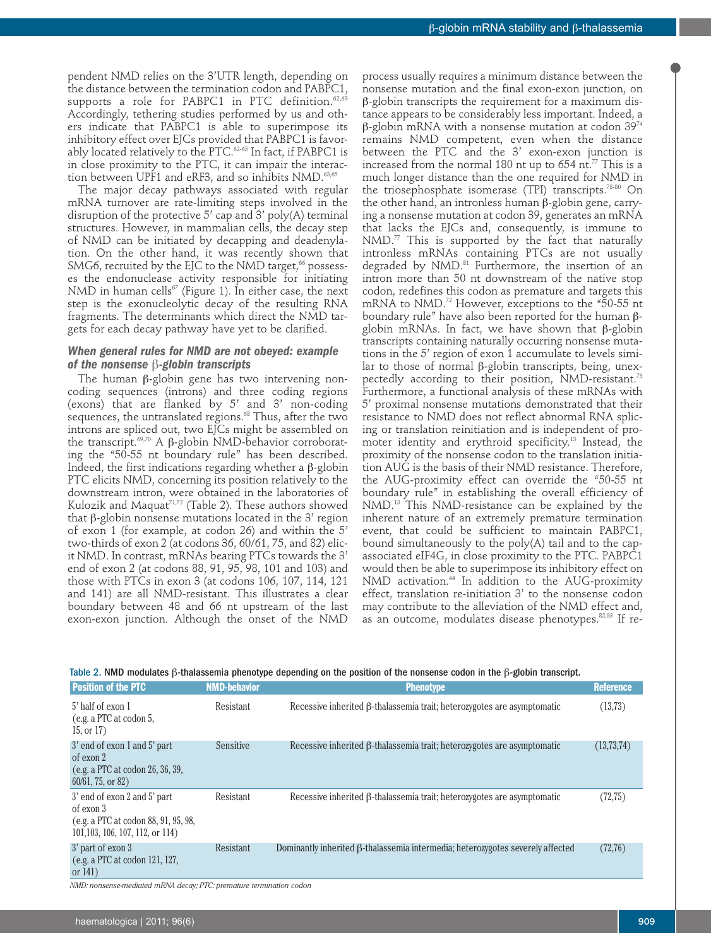pendent NMD relies on the 3'UTR length, depending on the distance between the termination codon and PABPC1, supports a role for PABPC1 in PTC definition.<sup>62,63</sup> Accordingly, tethering studies performed by us and others indicate that PABPC1 is able to superimpose its inhibitory effect over EJCs provided that PABPC1 is favorably located relatively to the PTC.<sup>62-65</sup> In fact, if PABPC1 is in close proximity to the PTC, it can impair the interaction between UPF1 and eRF3, and so inhibits NMD.<sup>63,65</sup>

The major decay pathways associated with regular mRNA turnover are rate-limiting steps involved in the disruption of the protective 5' cap and 3' poly(A) terminal structures. However, in mammalian cells, the decay step of NMD can be initiated by decapping and deadenylation. On the other hand, it was recently shown that SMG6, recruited by the EJC to the NMD target,<sup>66</sup> possesses the endonuclease activity responsible for initiating NMD in human cells $^{\rm 67}$  (Figure 1). In either case, the next step is the exonucleolytic decay of the resulting RNA fragments. The determinants which direct the NMD targets for each decay pathway have yet to be clarified.

## *When general rules for NMD are not obeyed: example of the nonsense* b*-globin transcripts*

The human  $\beta$ -globin gene has two intervening noncoding sequences (introns) and three coding regions (exons) that are flanked by 5' and 3' non-coding sequences, the untranslated regions.<sup>68</sup> Thus, after the two introns are spliced out, two EJCs might be assembled on the transcript.<sup>69,70</sup> A  $\beta$ -globin NMD-behavior corroborating the "50-55 nt boundary rule" has been described. Indeed, the first indications regarding whether a  $\beta$ -globin PTC elicits NMD, concerning its position relatively to the downstream intron, were obtained in the laboratories of Kulozik and Maquat $7^{1,72}$  (Table 2). These authors showed that  $\beta$ -globin nonsense mutations located in the 3' region of exon 1 (for example, at codon 26) and within the 5' two-thirds of exon 2 (at codons 36, 60/61, 75, and 82) elicit NMD. In contrast, mRNAs bearing PTCs towards the 3' end of exon 2 (at codons 88, 91, 95, 98, 101 and 103) and those with PTCs in exon 3 (at codons 106, 107, 114, 121 and 141) are all NMD-resistant. This illustrates a clear boundary between 48 and 66 nt upstream of the last exon-exon junction. Although the onset of the NMD

process usually requires a minimum distance between the nonsense mutation and the final exon-exon junction, on b-globin transcripts the requirement for a maximum distance appears to be considerably less important. Indeed, a  $\beta$ -globin mRNA with a nonsense mutation at codon 39<sup>74</sup> remains NMD competent, even when the distance between the PTC and the 3' exon-exon junction is increased from the normal 180 nt up to 654 nt.<sup>77</sup> This is a much longer distance than the one required for NMD in the triosephosphate isomerase (TPI) transcripts.78-80 On the other hand, an intronless human  $\beta$ -globin gene, carrying a nonsense mutation at codon 39, generates an mRNA that lacks the EJCs and, consequently, is immune to NMD.<sup>77</sup> This is supported by the fact that naturally intronless mRNAs containing PTCs are not usually degraded by NMD.<sup>81</sup> Furthermore, the insertion of an intron more than 50 nt downstream of the native stop codon, redefines this codon as premature and targets this mRNA to NMD.<sup>72</sup> However, exceptions to the "50-55 nt boundary rule" have also been reported for the human  $\beta$ globin mRNAs. In fact, we have shown that  $\beta$ -globin transcripts containing naturally occurring nonsense mutations in the 5' region of exon 1 accumulate to levels similar to those of normal  $\beta$ -globin transcripts, being, unexpectedly according to their position, NMD-resistant.<sup>73</sup> Furthermore, a functional analysis of these mRNAs with 5' proximal nonsense mutations demonstrated that their resistance to NMD does not reflect abnormal RNA splicing or translation reinitiation and is independent of promoter identity and erythroid specificity.13 Instead, the proximity of the nonsense codon to the translation initiation AUG is the basis of their NMD resistance. Therefore, the AUG-proximity effect can override the "50-55 nt boundary rule" in establishing the overall efficiency of NMD.13 This NMD-resistance can be explained by the inherent nature of an extremely premature termination event, that could be sufficient to maintain PABPC1, bound simultaneously to the poly(A) tail and to the capassociated eIF4G, in close proximity to the PTC. PABPC1 would then be able to superimpose its inhibitory effect on NMD activation.44 In addition to the AUG-proximity effect, translation re-initiation 3' to the nonsense codon may contribute to the alleviation of the NMD effect and, as an outcome, modulates disease phenotypes.<sup>82,83</sup> If re-

| Table 2. Hims modulated is thangedring phonotype appoiantly on the position of the honderde coupling the p grown transcript. |                     |                                                                                |                  |  |  |
|------------------------------------------------------------------------------------------------------------------------------|---------------------|--------------------------------------------------------------------------------|------------------|--|--|
| <b>Position of the PTC</b>                                                                                                   | <b>NMD-behavior</b> | <b>Phenotype</b>                                                               | <b>Reference</b> |  |  |
| 5' half of exon 1<br>(e.g. a PTC at codon 5,<br>15, or $17$ )                                                                | <b>Resistant</b>    | Recessive inherited β-thalassemia trait; heterozygotes are asymptomatic        | (13,73)          |  |  |
| 3' end of exon 1 and 5' part                                                                                                 | <b>Sensitive</b>    | Recessive inherited β-thalassemia trait; heterozygotes are asymptomatic        | (13, 73, 74)     |  |  |
| of exon 2                                                                                                                    |                     |                                                                                |                  |  |  |
| (e.g. a PTC at codon 26, 36, 39,                                                                                             |                     |                                                                                |                  |  |  |
| $60/61$ , 75, or 82)                                                                                                         |                     |                                                                                |                  |  |  |
| 3' end of exon 2 and 5' part<br>of exon 3<br>(e.g. a PTC at codon 88, 91, 95, 98,<br>101, 103, 106, 107, 112, or 114         | Resistant           | Recessive inherited $\beta$ -thalassemia trait; heterozygotes are asymptomatic | (72, 75)         |  |  |
| 3' part of exon 3<br>(e.g. a PTC at codon 121, 127,<br>or 141)                                                               | Resistant           | Dominantly inherited β-thalassemia intermedia; heterozygotes severely affected | (72,76)          |  |  |

Table 2. NMD modulates b-thalassemia phenotype depending on the position of the nonsense codon in the b-globin transcript.

*NMD: nonsense-mediated mRNA decay; PTC: premature termination codon*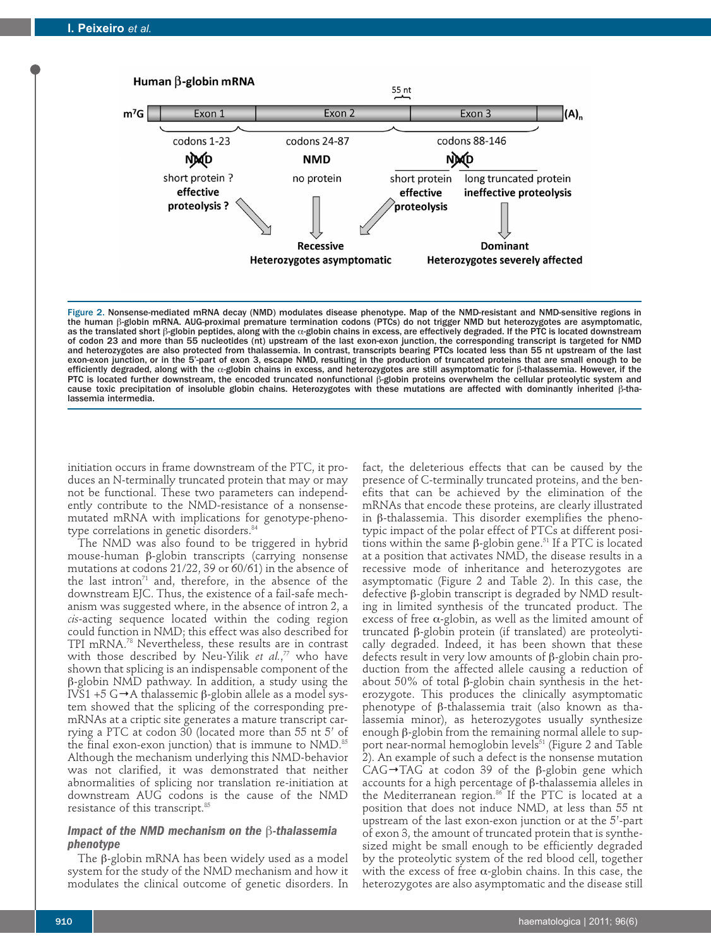

Figure 2. Nonsense-mediated mRNA decay (NMD) modulates disease phenotype. Map of the NMD-resistant and NMD-sensitive regions in the human b-globin mRNA. AUG-proximal premature termination codons (PTCs) do not trigger NMD but heterozygotes are asymptomatic, as the translated short  $\beta$ -globin peptides, along with the  $\alpha$ -globin chains in excess, are effectively degraded. If the PTC is located downstream of codon 23 and more than 55 nucleotides (nt) upstream of the last exon-exon junction, the corresponding transcript is targeted for NMD and heterozygotes are also protected from thalassemia. In contrast, transcripts bearing PTCs located less than 55 nt upstream of the last exon-exon junction, or in the 5'-part of exon 3, escape NMD, resulting in the production of truncated proteins that are small enough to be efficiently degraded, along with the α-globin chains in excess, and heterozygotes are still asymptomatic for b-thalassemia. However, if the PTC is located further downstream, the encoded truncated nonfunctional  $\beta$ -globin proteins overwhelm the cellular proteolytic system and cause toxic precipitation of insoluble globin chains. Heterozygotes with these mutations are affected with dominantly inherited ß-thalassemia intermedia.

initiation occurs in frame downstream of the PTC, it produces an N-terminally truncated protein that may or may not be functional. These two parameters can independently contribute to the NMD-resistance of a nonsensemutated mRNA with implications for genotype-phenotype correlations in genetic disorders.<sup>8</sup>

The NMD was also found to be triggered in hybrid mouse-human b-globin transcripts (carrying nonsense mutations at codons 21/22, 39 or 60/61) in the absence of the last intron<sup>71</sup> and, therefore, in the absence of the downstream EJC. Thus, the existence of a fail-safe mechanism was suggested where, in the absence of intron 2, a *cis*-acting sequence located within the coding region could function in NMD; this effect was also described for TPI mRNA.78 Nevertheless, these results are in contrast with those described by Neu-Yilik *et al.*, <sup>77</sup> who have shown that splicing is an indispensable component of the  $\beta$ -globin NMD pathway. In addition, a study using the IVS1 +5 G  $\rightarrow$  A thalassemic β-globin allele as a model system showed that the splicing of the corresponding premRNAs at a criptic site generates a mature transcript carrying a PTC at codon 30 (located more than 55 nt 5' of the final exon-exon junction) that is immune to  $NMD$ .<sup>85</sup> Although the mechanism underlying this NMD-behavior was not clarified, it was demonstrated that neither abnormalities of splicing nor translation re-initiation at downstream AUG codons is the cause of the NMD resistance of this transcript.<sup>85</sup>

## *Impact of the NMD mechanism on the*  $\beta$ *-thalassemia phenotype*

The  $\beta$ -globin mRNA has been widely used as a model system for the study of the NMD mechanism and how it modulates the clinical outcome of genetic disorders. In

fact, the deleterious effects that can be caused by the presence of C-terminally truncated proteins, and the benefits that can be achieved by the elimination of the mRNAs that encode these proteins, are clearly illustrated in  $\beta$ -thalassemia. This disorder exemplifies the phenotypic impact of the polar effect of PTCs at different positions within the same  $\beta$ -globin gene.<sup>51</sup> If a PTC is located at a position that activates NMD, the disease results in a recessive mode of inheritance and heterozygotes are asymptomatic (Figure 2 and Table 2). In this case, the defective  $\beta$ -globin transcript is degraded by NMD resulting in limited synthesis of the truncated product. The excess of free  $\alpha$ -globin, as well as the limited amount of truncated b-globin protein (if translated) are proteolytically degraded. Indeed, it has been shown that these defects result in very low amounts of  $\beta$ -globin chain production from the affected allele causing a reduction of about 50% of total  $\beta$ -globin chain synthesis in the heterozygote. This produces the clinically asymptomatic phenotype of  $\beta$ -thalassemia trait (also known as thalassemia minor), as heterozygotes usually synthesize enough  $\beta$ -globin from the remaining normal allele to support near-normal hemoglobin levels<sup>51</sup> (Figure 2 and Table 2). An example of such a defect is the nonsense mutation CAG→TAG at codon 39 of the  $\beta$ -globin gene which accounts for a high percentage of  $\beta$ -thalassemia alleles in the Mediterranean region.<sup>86</sup> If the PTC is located at a position that does not induce NMD, at less than 55 nt upstream of the last exon-exon junction or at the 5'-part of exon 3, the amount of truncated protein that is synthesized might be small enough to be efficiently degraded by the proteolytic system of the red blood cell, together with the excess of free  $\alpha$ -globin chains. In this case, the heterozygotes are also asymptomatic and the disease still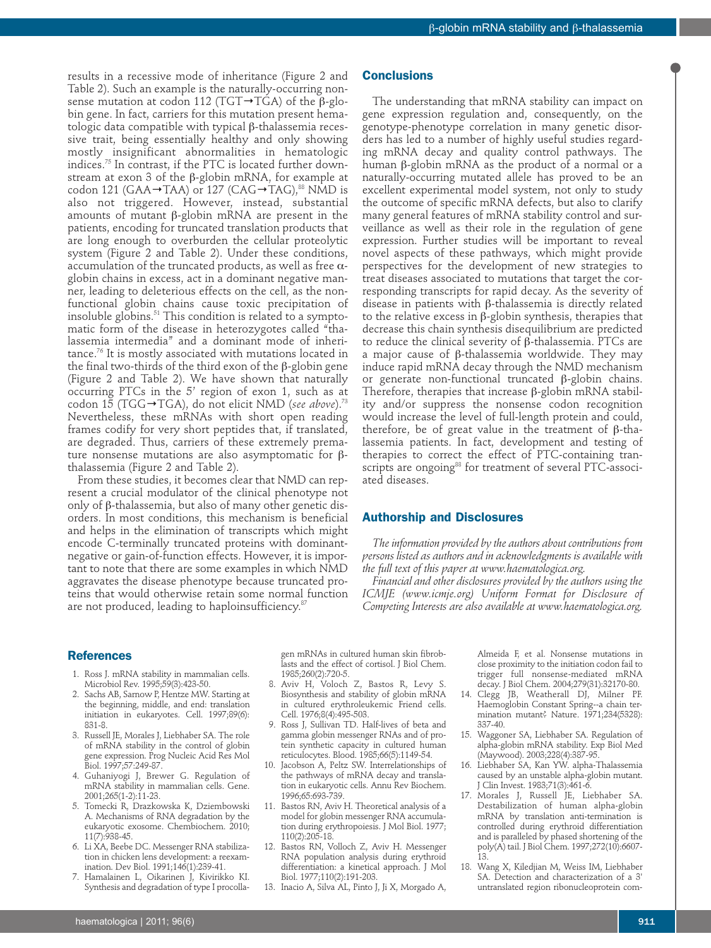results in a recessive mode of inheritance (Figure 2 and Table 2). Such an example is the naturally-occurring nonsense mutation at codon 112 (TGT $\rightarrow$ TGA) of the  $\beta$ -globin gene. In fact, carriers for this mutation present hematologic data compatible with typical  $\beta$ -thalassemia recessive trait, being essentially healthy and only showing mostly insignificant abnormalities in hematologic indices.75 In contrast, if the PTC is located further downstream at exon 3 of the  $\beta$ -globin mRNA, for example at codon 121 (GAA→TAA) or 127 (CAG→TAG),<sup>88</sup> NMD is also not triggered. However, instead, substantial amounts of mutant  $\beta$ -globin mRNA are present in the patients, encoding for truncated translation products that are long enough to overburden the cellular proteolytic system (Figure 2 and Table 2). Under these conditions, accumulation of the truncated products, as well as free  $\alpha$ globin chains in excess, act in a dominant negative manner, leading to deleterious effects on the cell, as the nonfunctional globin chains cause toxic precipitation of insoluble globins.<sup>51</sup> This condition is related to a symptomatic form of the disease in heterozygotes called "thalassemia intermedia" and a dominant mode of inheritance.76 It is mostly associated with mutations located in the final two-thirds of the third exon of the  $\beta$ -globin gene (Figure 2 and Table 2). We have shown that naturally occurring PTCs in the 5' region of exon 1, such as at codon 15 (TGG→TGA), do not elicit NMD (*see above*).73 Nevertheless, these mRNAs with short open reading frames codify for very short peptides that, if translated, are degraded. Thus, carriers of these extremely premature nonsense mutations are also asymptomatic for  $\beta$ thalassemia (Figure 2 and Table 2).

From these studies, it becomes clear that NMD can represent a crucial modulator of the clinical phenotype not only of  $\beta$ -thalassemia, but also of many other genetic disorders. In most conditions, this mechanism is beneficial and helps in the elimination of transcripts which might encode C-terminally truncated proteins with dominantnegative or gain-of-function effects. However, it is important to note that there are some examples in which NMD aggravates the disease phenotype because truncated proteins that would otherwise retain some normal function are not produced, leading to haploinsufficiency.<sup>87</sup>

## **Conclusions**

The understanding that mRNA stability can impact on gene expression regulation and, consequently, on the genotype-phenotype correlation in many genetic disorders has led to a number of highly useful studies regarding mRNA decay and quality control pathways. The human  $\beta$ -globin mRNA as the product of a normal or a naturally-occurring mutated allele has proved to be an excellent experimental model system, not only to study the outcome of specific mRNA defects, but also to clarify many general features of mRNA stability control and surveillance as well as their role in the regulation of gene expression. Further studies will be important to reveal novel aspects of these pathways, which might provide perspectives for the development of new strategies to treat diseases associated to mutations that target the corresponding transcripts for rapid decay. As the severity of disease in patients with  $\beta$ -thalassemia is directly related to the relative excess in  $\beta$ -globin synthesis, therapies that decrease this chain synthesis disequilibrium are predicted to reduce the clinical severity of  $\beta$ -thalassemia. PTCs are a major cause of  $\beta$ -thalassemia worldwide. They may induce rapid mRNA decay through the NMD mechanism or generate non-functional truncated  $\beta$ -globin chains. Therefore, therapies that increase  $\beta$ -globin mRNA stability and/or suppress the nonsense codon recognition would increase the level of full-length protein and could, therefore, be of great value in the treatment of  $\beta$ -thalassemia patients. In fact, development and testing of therapies to correct the effect of PTC-containing transcripts are ongoing<sup>88</sup> for treatment of several PTC-associated diseases.

## **Authorship and Disclosures**

*The information provided by the authors about contributions from persons listed as authors and in acknowledgments is available with the full text of this paper at www.haematologica.org.*

*Financial and other disclosures provided by the authors using the ICMJE (www.icmje.org) Uniform Format for Disclosure of Competing Interests are also available at www.haematologica.org.*

## **References**

- 1. Ross J. mRNA stability in mammalian cells. Microbiol Rev. 1995;59(3):423-50.
- 2. Sachs AB, Sarnow P, Hentze MW. Starting at the beginning, middle, and end: translation initiation in eukaryotes. Cell. 1997;89(6): 831-8.
- 3. Russell JE, Morales J, Liebhaber SA. The role of mRNA stability in the control of globin gene expression. Prog Nucleic Acid Res Mol Biol. 1997;57:249-87.
- 4. Guhaniyogi J, Brewer G. Regulation of mRNA stability in mammalian cells. Gene. 2001;265(1-2):11-23.
- 5. Tomecki R, Drazkowska K, Dziembowski A. Mechanisms of RNA degradation by the eukaryotic exosome. Chembiochem. 2010; 11(7):938-45.
- 6. Li XA, Beebe DC. Messenger RNA stabilization in chicken lens development: a reexamination. Dev Biol. 1991;146(1):239-41.
- 7. Hamalainen L, Oikarinen J, Kivirikko KI. Synthesis and degradation of type I procolla-

gen mRNAs in cultured human skin fibroblasts and the effect of cortisol. J Biol Chem. 1985;260(2):720-5.

- 8. Aviv H, Voloch Z, Bastos R, Levy S. Biosynthesis and stability of globin mRNA in cultured erythroleukemic Friend cells. Cell. 1976;8(4):495-503.
- 9. Ross J, Sullivan TD. Half-lives of beta and gamma globin messenger RNAs and of protein synthetic capacity in cultured human reticulocytes. Blood. 1985;66(5):1149-54.
- 10. Jacobson A, Peltz SW. Interrelationships of the pathways of mRNA decay and translation in eukaryotic cells. Annu Rev Biochem. 1996;65:693-739.
- 11. Bastos RN, Aviv H. Theoretical analysis of a model for globin messenger RNA accumulation during erythropoiesis. J Mol Biol. 1977; 110(2):205-18.
- 12. Bastos RN, Volloch Z, Aviv H. Messenger RNA population analysis during erythroid differentiation: a kinetical approach. J Mol Biol. 1977;110(2):191-203.
- 13. Inacio A, Silva AL, Pinto J, Ji X, Morgado A,

Almeida F, et al. Nonsense mutations in close proximity to the initiation codon fail to trigger full nonsense-mediated mRNA decay. J Biol Chem. 2004;279(31):32170-80.

- 14. Clegg JB, Weatherall DJ, Milner PF. Haemoglobin Constant Spring--a chain termination mutant? Nature. 1971;234(5328): 337-40.
- 15. Waggoner SA, Liebhaber SA. Regulation of alpha-globin mRNA stability. Exp Biol Med (Maywood). 2003;228(4):387-95.
- 16. Liebhaber SA, Kan YW. alpha-Thalassemia caused by an unstable alpha-globin mutant. J Clin Invest. 1983;71(3):461-6.
- 17. Morales J, Russell JE, Liebhaber SA. Destabilization of human alpha-globin mRNA by translation anti-termination is controlled during erythroid differentiation and is paralleled by phased shortening of the poly(A) tail. J Biol Chem. 1997;272(10):6607- 13.
- 18. Wang X, Kiledjian M, Weiss IM, Liebhaber SA. Detection and characterization of a 3 untranslated region ribonucleoprotein com-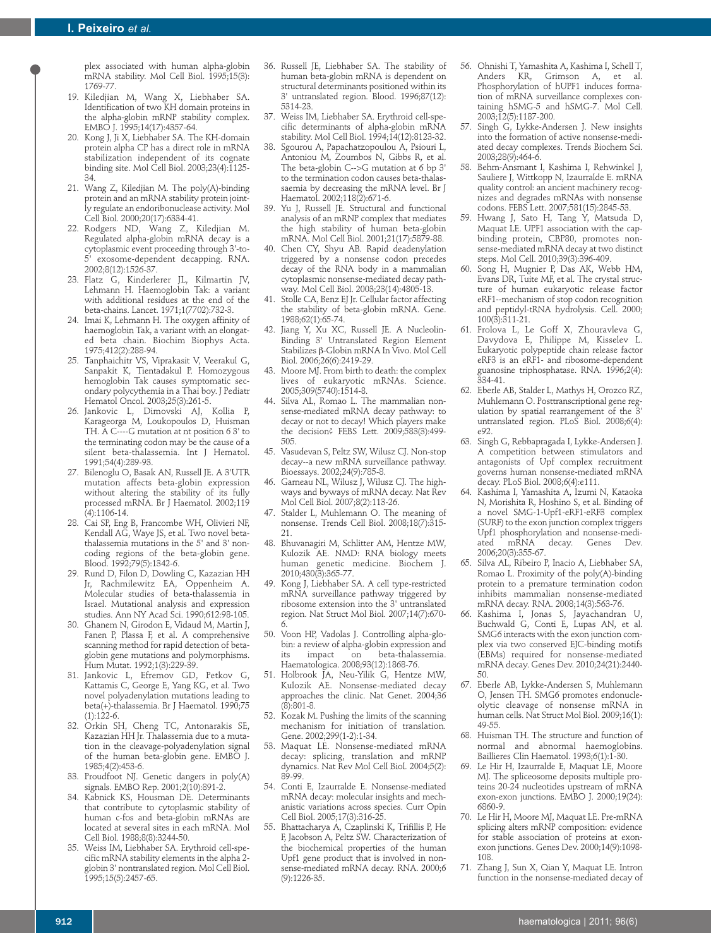plex associated with human alpha-globin mRNA stability. Mol Cell Biol. 1995;15(3): 1769-77.

- 19. Kiledjian M, Wang X, Liebhaber SA. Identification of two KH domain proteins in the alpha-globin mRNP stability complex. EMBO J. 1995;14(17):4357-64.
- 20. Kong J, Ji X, Liebhaber SA. The KH-domain protein alpha CP has a direct role in mRNA stabilization independent of its cognate binding site. Mol Cell Biol. 2003;23(4):1125- 34.
- 21. Wang Z, Kiledjian M. The poly(A)-binding protein and an mRNA stability protein jointly regulate an endoribonuclease activity. Mol Cell Biol. 2000;20(17):6334-41.
- 22. Rodgers ND, Wang Z, Kiledjian M. Regulated alpha-globin mRNA decay is a cytoplasmic event proceeding through 3'-toexosome-dependent decapping. RNA. 2002;8(12):1526-37.
- 23. Flatz G, Kinderlerer JL, Kilmartin JV, Lehmann H. Haemoglobin Tak: a variant with additional residues at the end of the beta-chains. Lancet. 1971;1(7702):732-3.
- 24. Imai K, Lehmann H. The oxygen affinity of haemoglobin Tak, a variant with an elongated beta chain. Biochim Biophys Acta. 1975;412(2):288-94.
- 25. Tanphaichitr VS, Viprakasit V, Veerakul G, Sanpakit K, Tientadakul P. Homozygous hemoglobin Tak causes symptomatic secondary polycythemia in a Thai boy. J Pediatr Hematol Oncol. 2003;25(3):261-5.
- 26. Jankovic L, Dimovski AJ, Kollia P, Karageorga M, Loukopoulos D, Huisman TH. A C----G mutation at nt position 6 3' to the terminating codon may be the cause of a silent beta-thalassemia. Int J Hematol. 1991;54(4):289-93.
- 27. Bilenoglu O, Basak AN, Russell JE. A 3'UTR mutation affects beta-globin expression without altering the stability of its fully processed mRNA. Br J Haematol. 2002;119  $(4):1106-14.$
- 28. Cai SP, Eng B, Francombe WH, Olivieri NF, Kendall AG, Waye JS, et al. Two novel betathalassemia mutations in the 5' and 3' noncoding regions of the beta-globin gene. Blood. 1992;79(5):1342-6.
- 29. Rund D, Filon D, Dowling C, Kazazian HH Jr, Rachmilewitz EA, Oppenheim A. Molecular studies of beta-thalassemia in Israel. Mutational analysis and expression studies. Ann NY Acad Sci. 1990;612:98-105.
- 30. Ghanem N, Girodon E, Vidaud M, Martin J, Fanen P, Plassa F, et al. A comprehensive scanning method for rapid detection of betaglobin gene mutations and polymorphisms. Hum Mutat. 1992;1(3):229-39.
- 31. Jankovic L, Efremov GD, Petkov G, Kattamis C, George E, Yang KG, et al. Two novel polyadenylation mutations leading to beta(+)-thalassemia. Br J Haematol. 1990;75  $(1):122-6$
- 32. Orkin SH, Cheng TC, Antonarakis SE, Kazazian HH Jr. Thalassemia due to a mutation in the cleavage-polyadenylation signal of the human beta-globin gene. EMBO J. 1985;4(2):453-6.
- 33. Proudfoot NJ. Genetic dangers in poly(A) signals. EMBO Rep. 2001;2(10):891-2.
- 34. Kabnick KS, Housman DE. Determinants that contribute to cytoplasmic stability of human c-fos and beta-globin mRNAs are located at several sites in each mRNA. Mol Cell Biol. 1988;8(8):3244-50.
- 35. Weiss IM, Liebhaber SA. Erythroid cell-specific mRNA stability elements in the alpha 2 globin 3' nontranslated region. Mol Cell Biol. 1995;15(5):2457-65.
- 36. Russell JE, Liebhaber SA. The stability of human beta-globin mRNA is dependent on structural determinants positioned within its 3' untranslated region. Blood. 1996;87(12): 5314-23.
- 37. Weiss IM, Liebhaber SA. Erythroid cell-specific determinants of alpha-globin mRNA stability. Mol Cell Biol. 1994;14(12):8123-32.
- Sgourou A, Papachatzopoulou A, Psiouri L Antoniou M, Zoumbos N, Gibbs R, et al. The beta-globin C-->G mutation at 6 bp 3' to the termination codon causes beta-thalassaemia by decreasing the mRNA level. Br J Haematol. 2002;118(2):671-6.
- 39. Yu J, Russell JE. Structural and functional analysis of an mRNP complex that mediates the high stability of human beta-globin mRNA. Mol Cell Biol. 2001;21(17):5879-88.
- 40. Chen CY, Shyu AB. Rapid deadenylation triggered by a nonsense codon precedes decay of the RNA body in a mammalian cytoplasmic nonsense-mediated decay pathway. Mol Cell Biol. 2003;23(14):4805-13.
- Stolle CA, Benz EJ Jr. Cellular factor affecting the stability of beta-globin mRNA. Gene. 1988;62(1):65-74.
- 42. Jiang Y, Xu XC, Russell JE. A Nucleolin-Binding 3' Untranslated Region Element Stabilizes b-Globin mRNA In Vivo. Mol Cell Biol. 2006;26(6):2419-29.
- 43. Moore MJ. From birth to death: the complex lives of eukaryotic mRNAs. Science. 2005;309(5740):1514-8.
- 44. Silva AL, Romao L. The mammalian nonsense-mediated mRNA decay pathway: to decay or not to decay! Which players make the decision? FEBS Lett. 2009;583(3):499- 505.
- 45. Vasudevan S, Peltz SW, Wilusz CJ. Non-stop decay--a new mRNA surveillance pathway. Bioessays. 2002;24(9):785-8.
- 46. Garneau NL, Wilusz J, Wilusz CJ. The highways and byways of mRNA decay. Nat Rev Mol Cell Biol. 2007;8(2):113-26.
- 47. Stalder L, Muhlemann O. The meaning of nonsense. Trends Cell Biol. 2008;18(7):315- 21.
- 48. Bhuvanagiri M, Schlitter AM, Hentze MW, Kulozik AE. NMD: RNA biology meets human genetic medicine. Biochem J. 2010;430(3):365-77.
- 49. Kong J, Liebhaber SA. A cell type-restricted mRNA surveillance pathway triggered by ribosome extension into the 3' untranslated region. Nat Struct Mol Biol. 2007;14(7):670- 6.
- 50. Voon HP, Vadolas J. Controlling alpha-globin: a review of alpha-globin expression and its impact on beta-thalassemia. Haematologica. 2008;93(12):1868-76.
- 51. Holbrook JA, Neu-Yilik G, Hentze MW, Kulozik AE. Nonsense-mediated decay approaches the clinic. Nat Genet. 2004;36 (8):801-8.
- 52. Kozak M. Pushing the limits of the scanning mechanism for initiation of translation. Gene. 2002;299(1-2):1-34.
- 53. Maquat LE. Nonsense-mediated mRNA decay: splicing, translation and mRNP dynamics. Nat Rev Mol Cell Biol. 2004;5(2): 89-99.
- 54. Conti E, Izaurralde E. Nonsense-mediated mRNA decay: molecular insights and mechanistic variations across species. Curr Opin Cell Biol. 2005;17(3):316-25.
- 55. Bhattacharya A, Czaplinski K, Trifillis P, He F, Jacobson A, Peltz SW. Characterization of the biochemical properties of the human Upf1 gene product that is involved in nonsense-mediated mRNA decay. RNA. 2000;6 (9):1226-35.
- 56. Ohnishi T, Yamashita A, Kashima I, Schell T, Anders KR, Grimson A, et al. Phosphorylation of hUPF1 induces formation of mRNA surveillance complexes containing hSMG-5 and hSMG-7. Mol Cell. 2003;12(5):1187-200.
- 57. Singh G, Lykke-Andersen J. New insights into the formation of active nonsense-mediated decay complexes. Trends Biochem Sci. 2003;28(9):464-6.
- 58. Behm-Ansmant I, Kashima I, Rehwinkel J, Sauliere J, Wittkopp N, Izaurralde E. mRNA quality control: an ancient machinery recognizes and degrades mRNAs with nonsense codons. FEBS Lett. 2007;581(15):2845-53.
- 59. Hwang J, Sato H, Tang Y, Matsuda D, Maquat LE. UPF1 association with the capbinding protein, CBP80, promotes nonsense-mediated mRNA decay at two distinct steps. Mol Cell. 2010;39(3):396-409.
- 60. Song H, Mugnier P, Das AK, Webb HM, Evans DR, Tuite MF, et al. The crystal structure of human eukaryotic release factor eRF1--mechanism of stop codon recognition and peptidyl-tRNA hydrolysis. Cell. 2000; 100(3):311-21.
- 61. Frolova L, Le Goff X, Zhouravleva G, Davydova E, Philippe M, Kisselev L. Eukaryotic polypeptide chain release factor eRF3 is an eRF1- and ribosome-dependent guanosine triphosphatase. RNA. 1996;2(4): 334-41.
- 62. Eberle AB, Stalder L, Mathys H, Orozco RZ, Muhlemann O. Posttranscriptional gene regulation by spatial rearrangement of the 3' untranslated region. PLoS Biol. 2008;6(4): e92.
- 63. Singh G, Rebbapragada I, Lykke-Andersen J. A competition between stimulators and antagonists of Upf complex recruitment governs human nonsense-mediated mRNA decay. PLoS Biol. 2008;6(4):e111.
- 64. Kashima I, Yamashita A, Izumi N, Kataoka N, Morishita R, Hoshino S, et al. Binding of a novel SMG-1-Upf1-eRF1-eRF3 complex (SURF) to the exon junction complex triggers Upf1 phosphorylation and nonsense-mediated mRNA decay. Genes Dev. ated mRNA decay. Genes Dev. 2006;20(3):355-67.
- 65. Silva AL, Ribeiro P, Inacio A, Liebhaber SA, Romao L. Proximity of the poly(A)-binding protein to a premature termination codon inhibits mammalian nonsense-mediated mRNA decay. RNA. 2008;14(3):563-76.
- 66. Kashima I, Jonas S, Jayachandran U, Buchwald G, Conti E, Lupas AN, et al. SMG6 interacts with the exon junction complex via two conserved EJC-binding motifs (EBMs) required for nonsense-mediated mRNA decay. Genes Dev. 2010;24(21):2440- 50.
- 67. Eberle AB, Lykke-Andersen S, Muhlemann O, Jensen TH. SMG6 promotes endonucleolytic cleavage of nonsense mRNA in human cells. Nat Struct Mol Biol. 2009;16(1): 49-55.
- 68. Huisman TH. The structure and function of normal and abnormal haemoglobins. Baillieres Clin Haematol. 1993;6(1):1-30.
- 69. Le Hir H, Izaurralde E, Maquat LE, Moore MJ. The spliceosome deposits multiple proteins 20-24 nucleotides upstream of mRNA exon-exon junctions. EMBO J. 2000;19(24): 6860-9.
- 70. Le Hir H, Moore MJ, Maquat LE. Pre-mRNA splicing alters mRNP composition: evidence for stable association of proteins at exonexon junctions. Genes Dev. 2000;14(9):1098- 108.
- 71. Zhang J, Sun X, Qian Y, Maquat LE. Intron function in the nonsense-mediated decay of